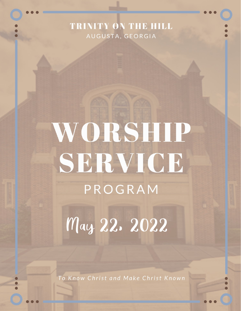# TRINITY ON THE HILL AUGUSTA, GEORGIA

# WORSHIP SERVICE PROGRAM

May 22. 2022

To Know Christ and Make Christ Known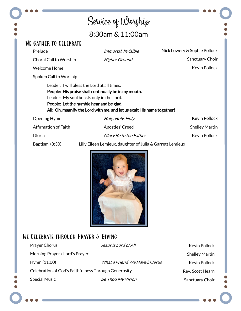## Service of Worship 8:30am & 11:00am We Gather to Celebrate Nick Lowery & Sophie Pollock Prelude **Immortal**, *Invisible* Choral Call to Worship Higher Ground Sanctuary Choir Kevin Pollock Welcome Home Spoken Call to Worship Leader: I will bless the Lord at all times. People: His praise shall continually be in my mouth.

Leader: My soul boasts only in the Lord.

#### People: Let the humble hear and be glad. All: Oh, magnify the Lord with me, and let us exalt His name together!

| Opening Hymn         | Holy, Holy, Holy       | Kevin Pollock         |
|----------------------|------------------------|-----------------------|
| Affirmation of Faith | Apostles' Creed        | <b>Shelley Martin</b> |
| Gloria               | Glory Be to the Father | Kevin Pollock         |

Baptism (8:30) Lilly Eileen Lemieux, daughter of Julia & Garrett Lemieux



# We Celebrate through Prayer & Giving

| <b>Prayer Chorus</b>                                 | <i>Jesus is Lord of All</i>           | Kevin Pollock         |
|------------------------------------------------------|---------------------------------------|-----------------------|
| Morning Prayer / Lord's Prayer                       |                                       | <b>Shelley Martin</b> |
| Hymn (11:00)                                         | <i>What a Friend We Have in Jesus</i> | Kevin Pollock         |
| Celebration of God's Faithfulness Through Generosity |                                       | Rev. Scott Hearn      |
| <b>Special Music</b>                                 | <b>Be Thou My Vision</b>              | Sanctuary Choir       |
|                                                      |                                       |                       |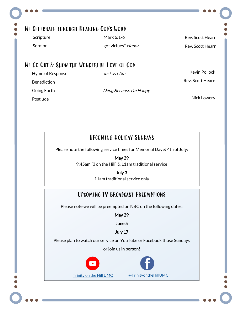| ×<br>× | r |
|--------|---|
|        |   |

## We Celebrate through Hearing God's Word

Scripture Mark 6:1-6

Sermon got virtues? Honor

Rev. Scott Hearn Rev. Scott Hearn

### We Go Out & Show the Wonderful Love of God

| Hymn of Response   | Just as I Am                    | <b>Kevin Pollock</b> |
|--------------------|---------------------------------|----------------------|
| <b>Benediction</b> |                                 | Rev. Scott Hearn     |
| Going Forth        | <i>I Sing Because I'm Happy</i> |                      |
| Postlude           |                                 | Nick Lowery          |

Upcoming Holiday Sundays

Please note the following service times for Memorial Day & 4th of July:

#### May 29

9:45am (3 on the Hill) & 11am traditional service

#### July 3

11am traditional service only

# Upcoming TV Broadcast Preemptions

Please note we will be preempted on NBC on the following dates:

May 29

#### June 5

July 17

Please plan to watch our service on YouTube or Facebook those Sundays

or join us in person!